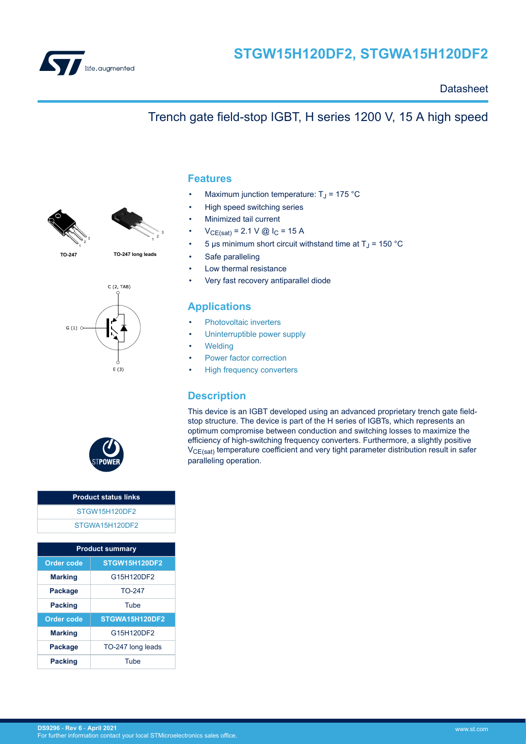

## **Datasheet**

# 1 2 3 1





2 3



- **Features**
- Maximum junction temperature:  $T_J$  = 175 °C
- High speed switching series
- Minimized tail current
- $V_{CE(sat)} = 2.1 V @$  I<sub>C</sub> = 15 A
- 5 μs minimum short circuit withstand time at  $T_J$  = 150 °C

Trench gate field-stop IGBT, H series 1200 V, 15 A high speed

- Safe paralleling
- Low thermal resistance
- Very fast recovery antiparallel diode

## **Applications**

- [Photovoltaic inverters](https://www.st.com/en/applications/energy-generation-and-distribution/solar-inverters-string-and-central.html?ecmp=tt9471_gl_link_feb2019&rt=ds&id=DS9296)
- [Uninterruptible power supply](https://www.st.com/en/applications/power-supplies-and-converters/uninterruptable-power-supplies-ups.html?ecmp=tt9471_gl_link_feb2019&rt=ds&id=DS9296)
- **[Welding](https://www.st.com/en/applications/industrial-power-and-tools/welding.html?ecmp=tt9471_gl_link_feb2019&rt=ds&id=DS9296)**
- [Power factor correction](https://www.st.com/en/applications/power-supplies-and-converters/pfc-converter-single-phase-input.html?ecmp=tt9471_gl_link_feb2019&rt=ds&id=DS9296)
- [High frequency converters](https://www.st.com/en/applications/power-supplies-and-converters/ac-dc-converters.html?ecmp=tt9471_gl_link_feb2019&rt=ds&id=DS9296)

## **Description**

This device is an IGBT developed using an advanced proprietary trench gate fieldstop structure. The device is part of the H series of IGBTs, which represents an optimum compromise between conduction and switching losses to maximize the efficiency of high-switching frequency converters. Furthermore, a slightly positive V<sub>CE(sat)</sub> temperature coefficient and very tight parameter distribution result in safer paralleling operation.



## **Product status links** [STGW15H120DF2](https://www.st.com/en/product/STGW15H120DF2?ecmp=tt9470_gl_link_feb2019&rt=ds&id=DS9296) [STGWA15H120DF2](https://www.st.com/en/product/STGWA15H120DF2?ecmp=tt9470_gl_link_feb2019&rt=ds&id=DS9296)

| <b>Product summary</b>                    |                   |  |  |
|-------------------------------------------|-------------------|--|--|
| <b>STGW15H120DF2</b><br><b>Order code</b> |                   |  |  |
| <b>Marking</b>                            | G15H120DF2        |  |  |
| $TO-247$<br>Package                       |                   |  |  |
| <b>Packing</b>                            | Tube              |  |  |
| <b>Order code</b>                         | STGWA15H120DF2    |  |  |
| <b>Marking</b>                            | G15H120DF2        |  |  |
| Package                                   | TO-247 long leads |  |  |
| Tube<br><b>Packing</b>                    |                   |  |  |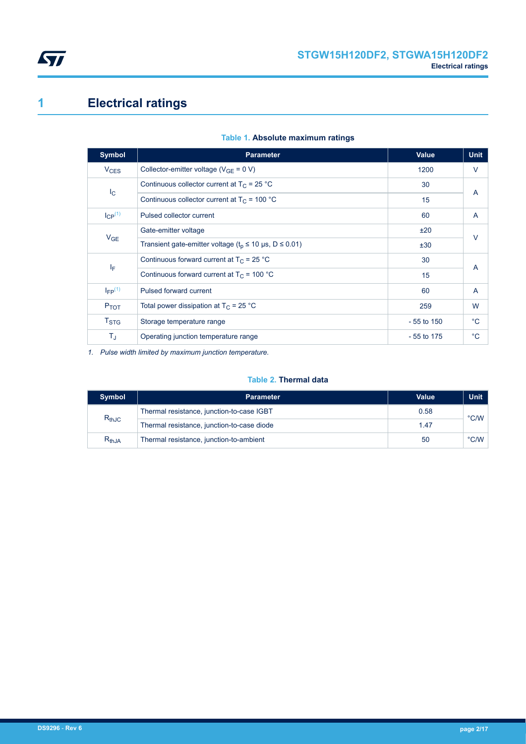<span id="page-1-0"></span>

# **1 Electrical ratings**

| <b>Symbol</b>           | <b>Parameter</b>                                                     | Value        | <b>Unit</b>    |  |
|-------------------------|----------------------------------------------------------------------|--------------|----------------|--|
| $V_{CES}$               | Collector-emitter voltage ( $V_{GE} = 0 V$ )                         | 1200         | V              |  |
| $I_{\rm C}$             | Continuous collector current at $T_C = 25 °C$                        | 30           | $\overline{A}$ |  |
|                         | Continuous collector current at $T_c$ = 100 °C                       | 15           |                |  |
| $I_{CP}^{(1)}$          | Pulsed collector current                                             | 60           | $\overline{A}$ |  |
|                         | Gate-emitter voltage                                                 | ±20          | $\vee$         |  |
| $V_{GE}$                | Transient gate-emitter voltage ( $t_p \le 10 \mu s$ , D $\le 0.01$ ) | ±30          |                |  |
| ΙF                      | Continuous forward current at $T_c$ = 25 °C                          | 30           | A              |  |
|                         | Continuous forward current at $T_c$ = 100 °C                         | 15           |                |  |
| $I_{FP}$ <sup>(1)</sup> | Pulsed forward current                                               | 60           | $\overline{A}$ |  |
| $P_{TOT}$               | Total power dissipation at $T_C$ = 25 °C                             | 259          | W              |  |
| T <sub>STG</sub>        | Storage temperature range                                            | $-55$ to 150 | $^{\circ}$ C   |  |
| ΤJ                      | Operating junction temperature range                                 | $-55$ to 175 | $^{\circ}$ C   |  |

## **Table 1. Absolute maximum ratings**

*1. Pulse width limited by maximum junction temperature.*

#### **Table 2. Thermal data**

| <b>Symbol</b> | <b>Parameter</b>                           | Value | <b>Unit</b>   |
|---------------|--------------------------------------------|-------|---------------|
| $R_{thJC}$    | Thermal resistance, junction-to-case IGBT  | 0.58  | $\degree$ C/W |
|               | Thermal resistance, junction-to-case diode | 1.47  |               |
| $R_{th,JA}$   | Thermal resistance, junction-to-ambient    | 50    | $\degree$ C/W |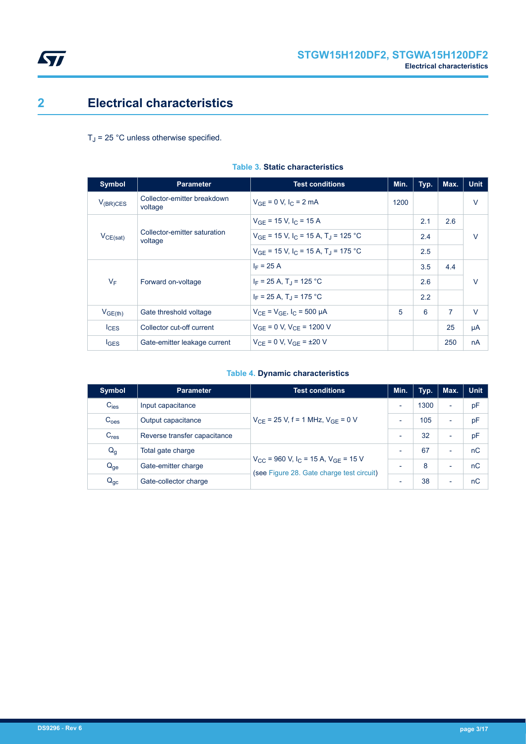

# <span id="page-2-0"></span>**2 Electrical characteristics**

 $T_J$  = 25 °C unless otherwise specified.

| <b>Symbol</b>       | <b>Parameter</b>                        | <b>Test conditions</b>                                          | Min. | Typ. | Max.           | <b>Unit</b> |
|---------------------|-----------------------------------------|-----------------------------------------------------------------|------|------|----------------|-------------|
| $V_{(BR)CES}$       | Collector-emitter breakdown<br>voltage  | $V_{GF} = 0 V, I_C = 2 mA$                                      | 1200 |      |                | $\vee$      |
|                     |                                         | $V_{GF}$ = 15 V, I <sub>C</sub> = 15 A                          |      | 2.1  | 2.6            |             |
| $V_{CE(sat)}$       | Collector-emitter saturation<br>voltage | $V_{GF}$ = 15 V, I <sub>C</sub> = 15 A, T <sub>J</sub> = 125 °C |      | 2.4  |                | $\vee$      |
|                     |                                         | $V_{GF}$ = 15 V, I <sub>C</sub> = 15 A, T <sub>J</sub> = 175 °C |      | 2.5  |                |             |
|                     | Forward on-voltage                      | $I_F = 25 A$                                                    |      | 3.5  | 4.4            |             |
| $V_F$               |                                         | $I_F = 25 A$ , T <sub>J</sub> = 125 °C                          |      | 2.6  |                | $\vee$      |
|                     |                                         | $I_F = 25 A$ , T <sub>J</sub> = 175 °C                          |      | 2.2  |                |             |
| V <sub>GE(th)</sub> | Gate threshold voltage                  | $V_{CF} = V_{GF}$ , $I_C = 500 \mu A$                           | 5    | 6    | $\overline{7}$ | $\vee$      |
| $I_{CES}$           | Collector cut-off current               | $V_{GE}$ = 0 V, $V_{CE}$ = 1200 V                               |      |      | 25             | μA          |
| <b>IGES</b>         | Gate-emitter leakage current            | $V_{CF} = 0 V$ , $V_{GF} = \pm 20 V$                            |      |      | 250            | nA          |

#### **Table 3. Static characteristics**

## **Table 4. Dynamic characteristics**

| <b>Symbol</b>    | <b>Parameter</b>             | <b>Test conditions</b>                                                                                              | Min.                     | Typ. | Max.                     | <b>Unit</b> |
|------------------|------------------------------|---------------------------------------------------------------------------------------------------------------------|--------------------------|------|--------------------------|-------------|
| $C_{\text{ies}}$ | Input capacitance            | $V_{CF}$ = 25 V, f = 1 MHz, $V_{GF}$ = 0 V                                                                          | $\overline{\phantom{0}}$ | 1300 | $\overline{\phantom{a}}$ | pF          |
| C <sub>oes</sub> | Output capacitance           |                                                                                                                     | $\overline{\phantom{0}}$ | 105  | ٠                        | pF          |
| $C_{res}$        | Reverse transfer capacitance |                                                                                                                     | $\overline{\phantom{0}}$ | 32   | ٠                        | pF          |
| $Q_{q}$          | Total gate charge            | $V_{\text{CC}}$ = 960 V, I <sub>C</sub> = 15 A, V <sub>GF</sub> = 15 V<br>(see Figure 28. Gate charge test circuit) | $\overline{\phantom{0}}$ | 67   | $\overline{\phantom{0}}$ | nC          |
| $Q_{ge}$         | Gate-emitter charge          |                                                                                                                     | $\overline{\phantom{a}}$ | 8    | $\overline{\phantom{0}}$ | nC          |
| $Q_{gc}$         | Gate-collector charge        |                                                                                                                     | $\overline{\phantom{0}}$ | 38   | ٠                        | nC          |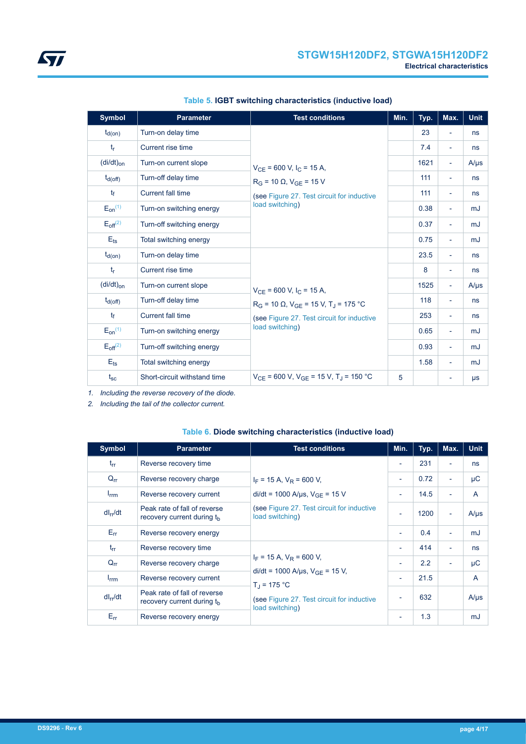| <b>Symbol</b>   | <b>Parameter</b>             | <b>Test conditions</b>                                            | Min. | Typ. | Max.                     | <b>Unit</b> |
|-----------------|------------------------------|-------------------------------------------------------------------|------|------|--------------------------|-------------|
| $t_{d(on)}$     | Turn-on delay time           |                                                                   |      | 23   | $\overline{\phantom{a}}$ | ns          |
| $t_{r}$         | Current rise time            |                                                                   |      | 7.4  | -                        | ns          |
| $(di/dt)_{on}$  | Turn-on current slope        | $V_{CE}$ = 600 V, I <sub>C</sub> = 15 A,                          |      | 1621 | $\overline{\phantom{a}}$ | $A/\mu s$   |
| $t_{d(Off)}$    | Turn-off delay time          | $R_G$ = 10 $\Omega$ , $V_{GE}$ = 15 V                             |      | 111  | $\overline{\phantom{a}}$ | ns          |
| $t_{\rm f}$     | <b>Current fall time</b>     | (see Figure 27. Test circuit for inductive                        |      | 111  | $\overline{\phantom{0}}$ | ns          |
| $E_{on}^{(1)}$  | Turn-on switching energy     | load switching)                                                   |      | 0.38 | $\overline{\phantom{a}}$ | mJ          |
| $E_{off}^{(2)}$ | Turn-off switching energy    |                                                                   |      | 0.37 | $\overline{\phantom{a}}$ | mJ          |
| $E_{ts}$        | Total switching energy       |                                                                   |      | 0.75 | $\overline{\phantom{a}}$ | mJ          |
| $t_{d(on)}$     | Turn-on delay time           |                                                                   |      | 23.5 | ÷.                       | ns          |
| $t_{r}$         | Current rise time            |                                                                   |      | 8    | $\overline{\phantom{0}}$ | ns          |
| $(di/dt)_{on}$  | Turn-on current slope        | $V_{CF}$ = 600 V, I <sub>C</sub> = 15 A,                          |      | 1525 | $\overline{\phantom{a}}$ | $A/\mu s$   |
| $t_{d(Off)}$    | Turn-off delay time          | $R_G$ = 10 Ω, $V_{GE}$ = 15 V, T <sub>J</sub> = 175 °C            |      | 118  | $\overline{\phantom{a}}$ | ns          |
| $t_{\rm f}$     | <b>Current fall time</b>     | (see Figure 27. Test circuit for inductive                        |      | 253  | $\overline{\phantom{a}}$ | ns          |
| $E_{on}^{(1)}$  | Turn-on switching energy     | load switching)                                                   |      | 0.65 | $\overline{\phantom{a}}$ | mJ          |
| $E_{off}^{(2)}$ | Turn-off switching energy    |                                                                   |      | 0.93 | $\overline{\phantom{0}}$ | mJ          |
| $E_{\text{ts}}$ | Total switching energy       |                                                                   |      | 1.58 | $\overline{\phantom{0}}$ | mJ          |
| $t_{\rm sc}$    | Short-circuit withstand time | $V_{CE}$ = 600 V, V <sub>GE</sub> = 15 V, T <sub>J</sub> = 150 °C | 5    |      | ۰                        | $\mu s$     |

## **Table 5. IGBT switching characteristics (inductive load)**

*1. Including the reverse recovery of the diode.*

*2. Including the tail of the collector current.*

### **Table 6. Diode switching characteristics (inductive load)**

| <b>Symbol</b>    | <b>Parameter</b>                                                       | <b>Test conditions</b>                                                                                                                                                    | Min.                     | Typ. | Max.                     | <b>Unit</b>  |
|------------------|------------------------------------------------------------------------|---------------------------------------------------------------------------------------------------------------------------------------------------------------------------|--------------------------|------|--------------------------|--------------|
| $t_{rr}$         | Reverse recovery time                                                  | $I_F$ = 15 A, $V_R$ = 600 V,                                                                                                                                              | $\overline{\phantom{a}}$ | 231  | $\overline{\phantom{a}}$ | ns           |
| $Q_{rr}$         | Reverse recovery charge                                                |                                                                                                                                                                           | $\overline{\phantom{a}}$ | 0.72 | $\overline{\phantom{a}}$ | μC           |
| $I_{\text{rrm}}$ | Reverse recovery current                                               | di/dt = 1000 A/ $\mu$ s, V <sub>GE</sub> = 15 V                                                                                                                           | $\overline{\phantom{a}}$ | 14.5 | ÷                        | A            |
| $dl_{rr}/dt$     | Peak rate of fall of reverse<br>recovery current during t <sub>h</sub> | (see Figure 27. Test circuit for inductive<br>load switching)                                                                                                             | $\overline{\phantom{a}}$ | 1200 | $\overline{\phantom{a}}$ | $A/\mu s$    |
| $E_{rr}$         | Reverse recovery energy                                                |                                                                                                                                                                           | $\overline{\phantom{a}}$ | 0.4  | $\sim$                   | mJ           |
| $t_{rr}$         | Reverse recovery time                                                  | $I_F$ = 15 A, $V_R$ = 600 V,<br>di/dt = 1000 A/ $\mu$ s, V <sub>GE</sub> = 15 V,<br>$T_{\rm J}$ = 175 °C<br>(see Figure 27. Test circuit for inductive<br>load switching) | $\blacksquare$           | 414  | $\overline{\phantom{a}}$ | ns           |
| $Q_{rr}$         | Reverse recovery charge                                                |                                                                                                                                                                           | $\overline{\phantom{a}}$ | 2.2  | $\overline{\phantom{a}}$ | μC           |
| $I_{\text{rrm}}$ | Reverse recovery current                                               |                                                                                                                                                                           | $\overline{\phantom{a}}$ | 21.5 |                          | $\mathsf{A}$ |
| $dl_{rr}/dt$     | Peak rate of fall of reverse<br>recovery current during the            |                                                                                                                                                                           | $\overline{\phantom{a}}$ | 632  |                          | $A/\mu s$    |
| $E_{rr}$         | Reverse recovery energy                                                |                                                                                                                                                                           | $\overline{\phantom{a}}$ | 1.3  |                          | mJ           |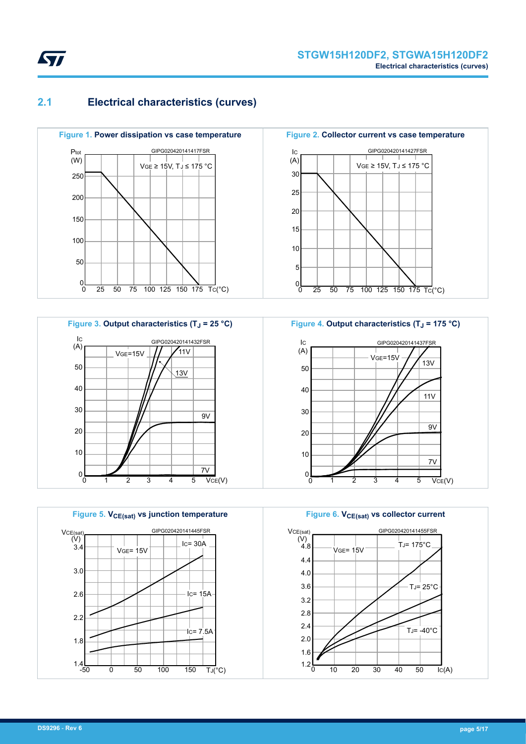<span id="page-4-0"></span>

## **2.1 Electrical characteristics (curves)**







**Figure 2. Collector current vs case temperature** IC 10 5  $0<sub>0</sub>$ 0 25 50 75 100 125 150 175 Tc(°C) (A) 15  $\overline{50}$ 20 VGE ≥ 15V, TJ ≤ 175 °C 25 30 GIPG020420141427FSR



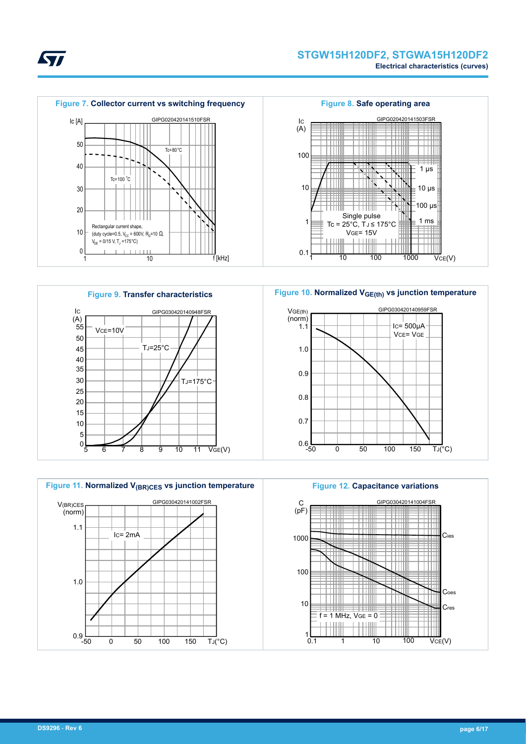





**Figure 10. Normalized VGE(th) vs junction temperature**







 $\overline{\mathsf{Vce}}(\mathsf{V})$ 

100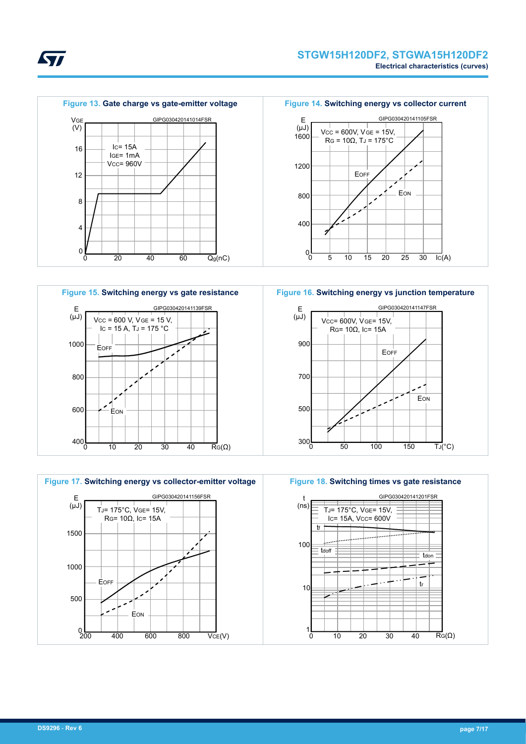



*kyi* 







**Figure 16. Switching energy vs junction temperature**



**Figure 18. Switching times vs gate resistance**

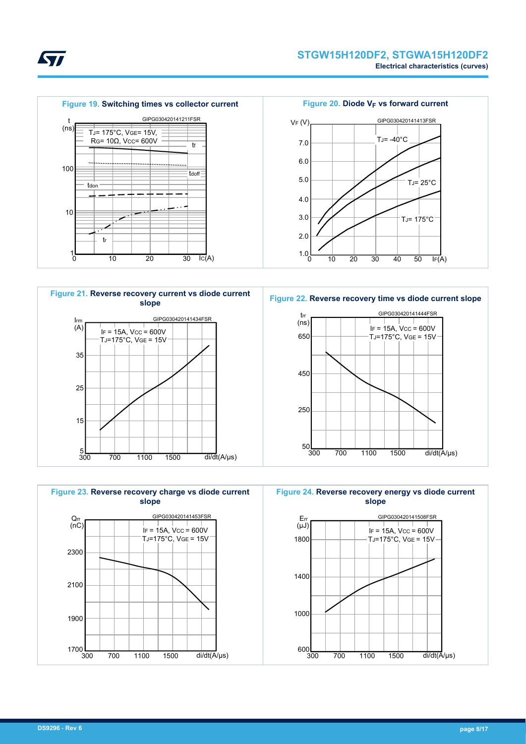

TJ= -40°C

GIPG030420141413FSR

TJ= 25°C

Figure 20. Diode V<sub>F</sub> vs forward current

VF (V)

7.0

6.0

5.0

4.0









**Figure 22. Reverse recovery time vs diode current slope**





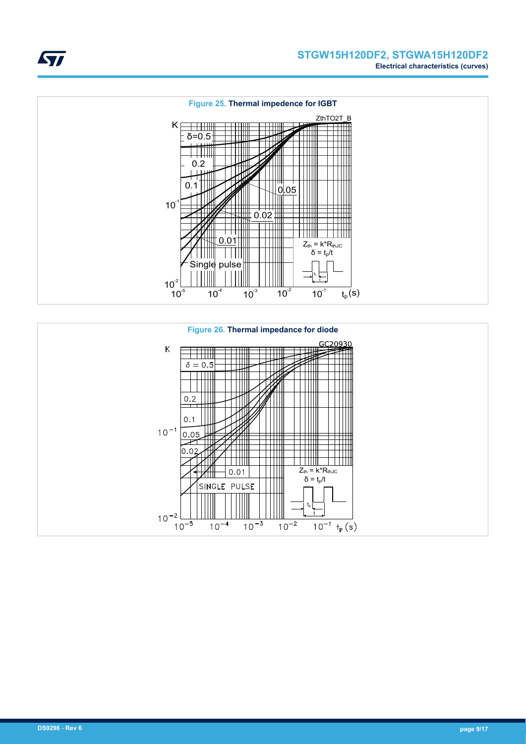



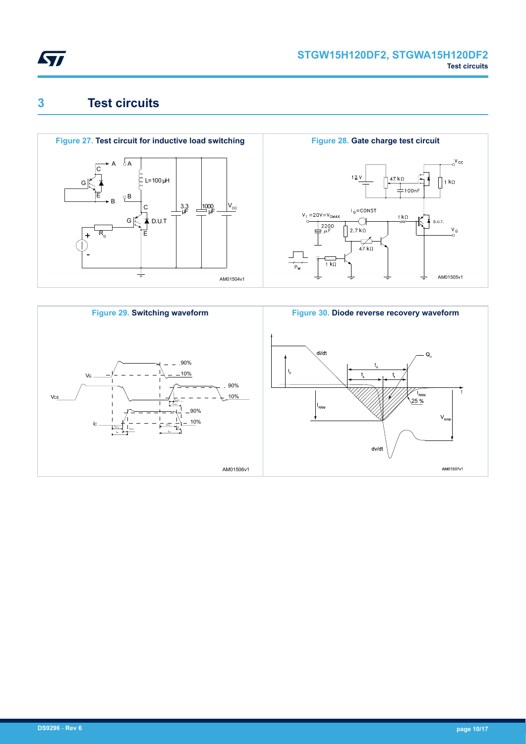<span id="page-9-0"></span>

# **3 Test circuits**





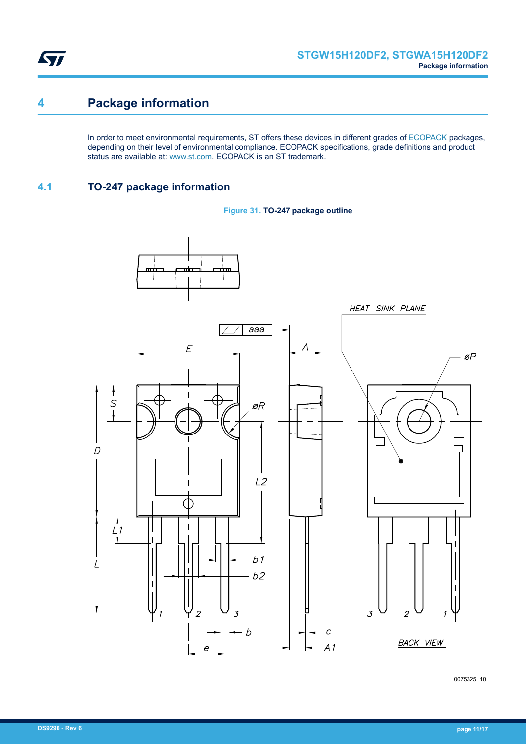<span id="page-10-0"></span>

# **4 Package information**

In order to meet environmental requirements, ST offers these devices in different grades of [ECOPACK](https://www.st.com/ecopack) packages, depending on their level of environmental compliance. ECOPACK specifications, grade definitions and product status are available at: [www.st.com.](http://www.st.com) ECOPACK is an ST trademark.

## **4.1 TO-247 package information**





0075325\_10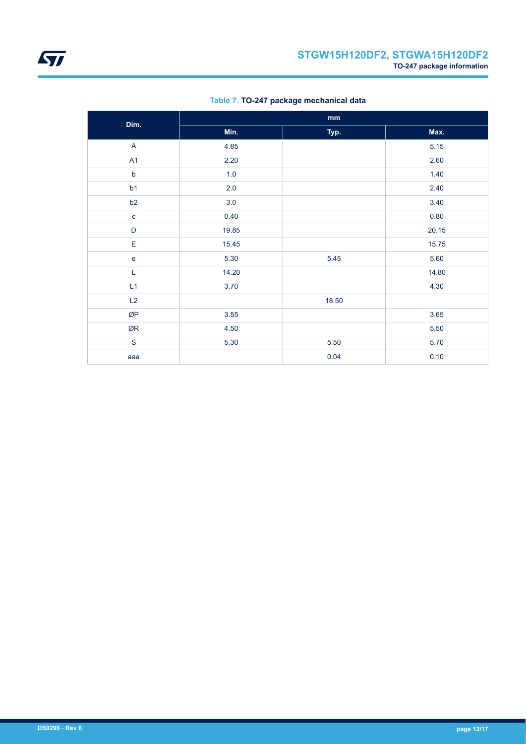| Dim.           |         | mm    |       |
|----------------|---------|-------|-------|
|                | Min.    | Typ.  | Max.  |
| $\mathsf{A}$   | 4.85    |       | 5.15  |
| A <sub>1</sub> | 2.20    |       | 2.60  |
| $\mathsf b$    | 1.0     |       | 1.40  |
| b1             | $2.0\,$ |       | 2.40  |
| b2             | 3.0     |       | 3.40  |
| $\mathbf{C}$   | 0.40    |       | 0.80  |
| $\mathsf D$    | 19.85   |       | 20.15 |
| E              | 15.45   |       | 15.75 |
| $\mathbf e$    | 5.30    | 5.45  | 5.60  |
| L              | 14.20   |       | 14.80 |
| L1             | 3.70    |       | 4.30  |
| L2             |         | 18.50 |       |
| ØP             | 3.55    |       | 3.65  |
| ØR             | 4.50    |       | 5.50  |
| $\mathbf S$    | 5.30    | 5.50  | 5.70  |
| aaa            |         | 0.04  | 0.10  |

## **Table 7. TO-247 package mechanical data**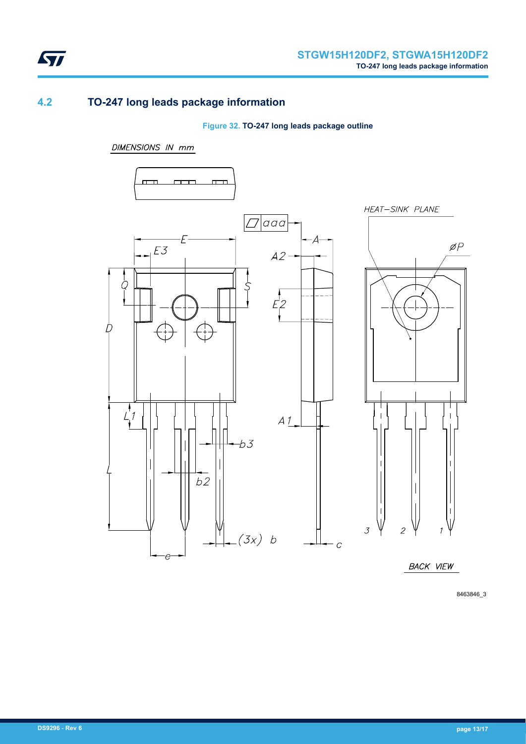<span id="page-12-0"></span>

## **4.2 TO-247 long leads package information**

### **Figure 32. TO-247 long leads package outline**

#### **DIMENSIONS IN mm**



8463846\_3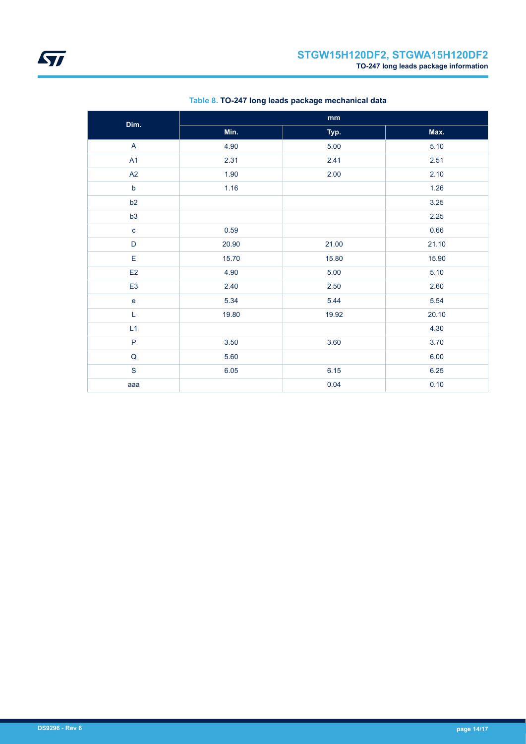| Dim.           |       | mm    |       |
|----------------|-------|-------|-------|
|                | Min.  | Typ.  | Max.  |
| A              | 4.90  | 5.00  | 5.10  |
| A1             | 2.31  | 2.41  | 2.51  |
| A2             | 1.90  | 2.00  | 2.10  |
| $\mathsf b$    | 1.16  |       | 1.26  |
| b2             |       |       | 3.25  |
| b3             |       |       | 2.25  |
| $\mathbf c$    | 0.59  |       | 0.66  |
| D              | 20.90 | 21.00 | 21.10 |
| E              | 15.70 | 15.80 | 15.90 |
| E <sub>2</sub> | 4.90  | 5.00  | 5.10  |
| E <sub>3</sub> | 2.40  | 2.50  | 2.60  |
| $\mathbf{e}$   | 5.34  | 5.44  | 5.54  |
| L              | 19.80 | 19.92 | 20.10 |
| L1             |       |       | 4.30  |
| $\mathsf P$    | 3.50  | 3.60  | 3.70  |
| $\mathsf Q$    | 5.60  |       | 6.00  |
| $\mathbf S$    | 6.05  | 6.15  | 6.25  |
| aaa            |       | 0.04  | 0.10  |

## **Table 8. TO-247 long leads package mechanical data**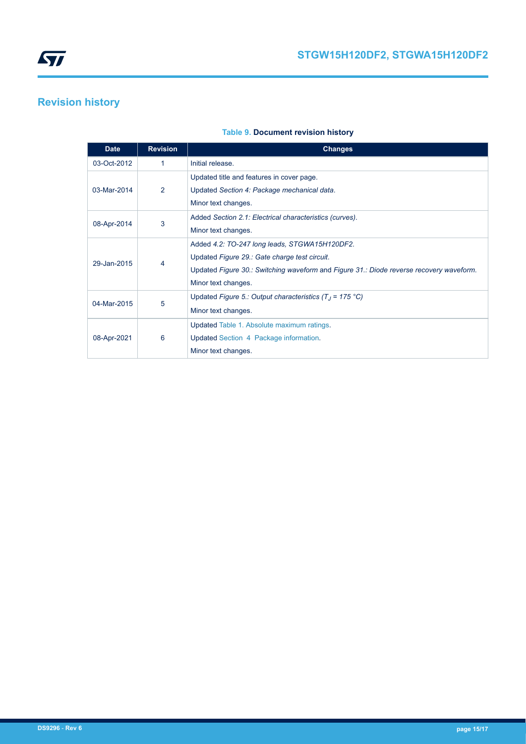# <span id="page-14-0"></span>**Revision history**

| <b>Date</b> | <b>Revision</b> | <b>Changes</b>                                                                          |
|-------------|-----------------|-----------------------------------------------------------------------------------------|
| 03-Oct-2012 | 1               | Initial release.                                                                        |
|             |                 | Updated title and features in cover page.                                               |
| 03-Mar-2014 | 2               | Updated Section 4: Package mechanical data.<br>Minor text changes.                      |
| 08-Apr-2014 | 3               | Added Section 2.1: Electrical characteristics (curves).                                 |
|             |                 | Minor text changes.                                                                     |
|             | 4               | Added 4.2: TO-247 long leads, STGWA15H120DF2.                                           |
| 29-Jan-2015 |                 | Updated Figure 29.: Gate charge test circuit.                                           |
|             |                 | Updated Figure 30.: Switching waveform and Figure 31.: Diode reverse recovery waveform. |
|             |                 | Minor text changes.                                                                     |
| 04-Mar-2015 | 5               | Updated Figure 5.: Output characteristics $(T_1 = 175 \degree C)$                       |
|             |                 | Minor text changes.                                                                     |
| 08-Apr-2021 |                 | Updated Table 1. Absolute maximum ratings.                                              |
|             | 6               | Updated Section 4 Package information.                                                  |
|             |                 | Minor text changes.                                                                     |

### **Table 9. Document revision history**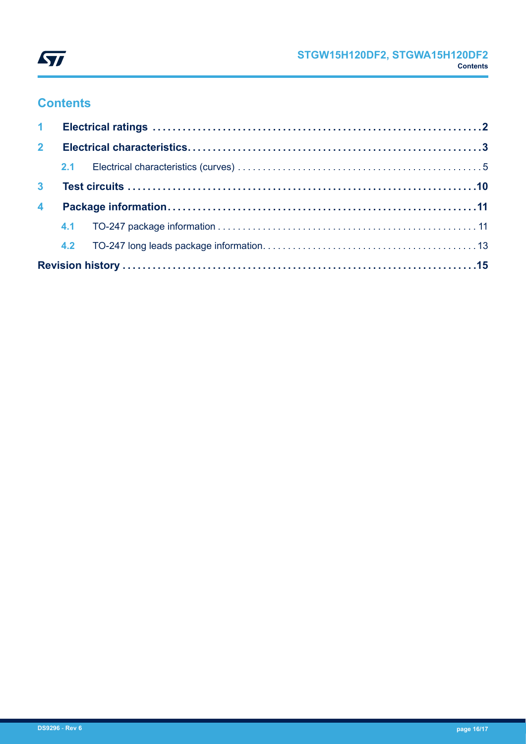

# **Contents**

| 2 <sup>1</sup>          |  |  |  |  |  |  |
|-------------------------|--|--|--|--|--|--|
|                         |  |  |  |  |  |  |
| 3 <sup>1</sup>          |  |  |  |  |  |  |
| $\overline{\mathbf{4}}$ |  |  |  |  |  |  |
|                         |  |  |  |  |  |  |
|                         |  |  |  |  |  |  |
|                         |  |  |  |  |  |  |